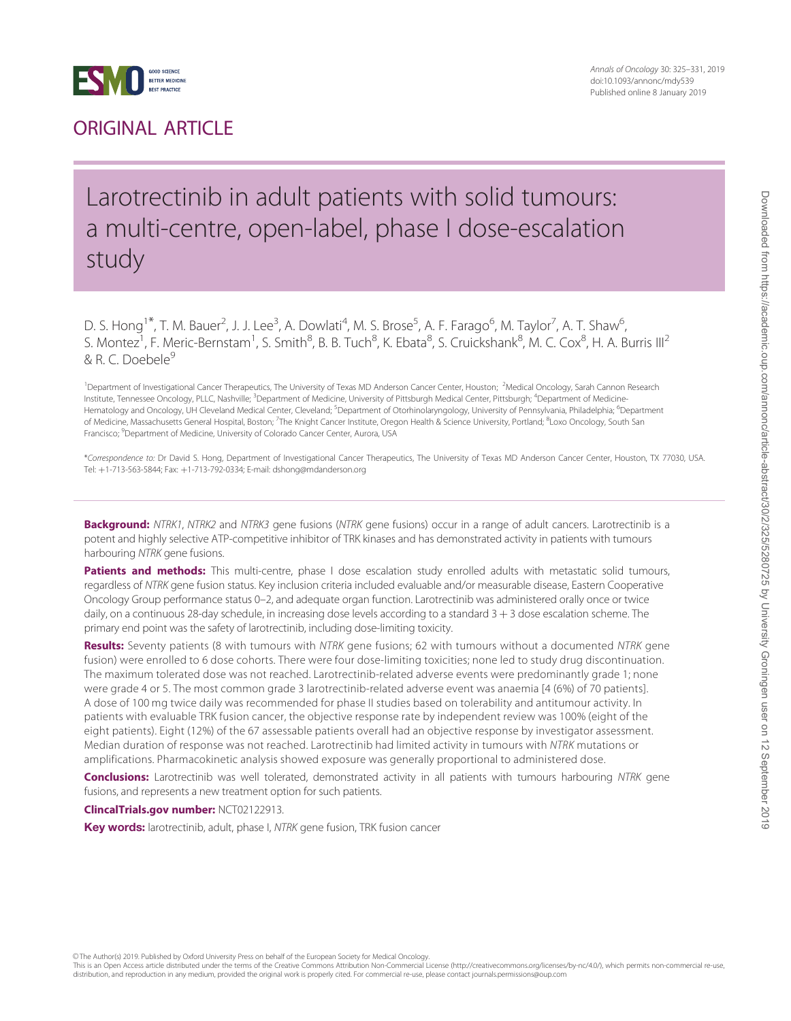

## ORIGINAL ARTICLE

## Larotrectinib in adult patients with solid tumours: a multi-centre, open-label, phase I dose-escalation study

D. S. Hong<sup>1\*</sup>, T. M. Bauer<sup>2</sup>, J. J. Lee<sup>3</sup>, A. Dowlati<sup>4</sup>, M. S. Brose<sup>5</sup>, A. F. Farago<sup>6</sup>, M. Taylor<sup>7</sup>, A. T. Shaw<sup>6</sup> , S. Montez<sup>1</sup>, F. Meric-Bernstam<sup>1</sup>, S. Smith<sup>8</sup>, B. B. Tuch<sup>8</sup>, K. Ebata<sup>8</sup>, S. Cruickshank<sup>8</sup>, M. C. Cox<sup>8</sup>, H. A. Burris III<sup>2</sup> & R. C. Doebele<sup>9</sup>

<sup>1</sup>Department of Investigational Cancer Therapeutics, The University of Texas MD Anderson Cancer Center, Houston; <sup>2</sup>Medical Oncology, Sarah Cannon Research Institute, Tennessee Oncology, PLLC, Nashville; <sup>3</sup>Department of Medicine, University of Pittsburgh Medical Center, Pittsburgh; <sup>4</sup>Department of Medicine-Hematology and Oncology, UH Cleveland Medical Center, Cleveland; <sup>5</sup>Department of Otorhinolaryngology, University of Pennsylvania, Philadelphia; <sup>6</sup>Department of Medicine, Massachusetts General Hospital, Boston; <sup>7</sup>The Knight Cancer Institute, Oregon Health & Science University, Portland; <sup>8</sup>Loxo Oncology, South San Francisco; <sup>9</sup>Department of Medicine, University of Colorado Cancer Center, Aurora, USA

\*Correspondence to: Dr David S. Hong, Department of Investigational Cancer Therapeutics, The University of Texas MD Anderson Cancer Center, Houston, TX 77030, USA. Tel: þ1-713-563-5844; Fax: þ1-713-792-0334; E-mail: dshong@mdanderson.org

Background: NTRK1, NTRK2 and NTRK3 gene fusions (NTRK gene fusions) occur in a range of adult cancers. Larotrectinib is a potent and highly selective ATP-competitive inhibitor of TRK kinases and has demonstrated activity in patients with tumours harbouring NTRK gene fusions.

Patients and methods: This multi-centre, phase I dose escalation study enrolled adults with metastatic solid tumours, regardless of NTRK gene fusion status. Key inclusion criteria included evaluable and/or measurable disease, Eastern Cooperative Oncology Group performance status 0–2, and adequate organ function. Larotrectinib was administered orally once or twice daily, on a continuous 28-day schedule, in increasing dose levels according to a standard  $3 + 3$  dose escalation scheme. The primary end point was the safety of larotrectinib, including dose-limiting toxicity.

Results: Seventy patients (8 with tumours with NTRK gene fusions; 62 with tumours without a documented NTRK gene fusion) were enrolled to 6 dose cohorts. There were four dose-limiting toxicities; none led to study drug discontinuation. The maximum tolerated dose was not reached. Larotrectinib-related adverse events were predominantly grade 1; none were grade 4 or 5. The most common grade 3 larotrectinib-related adverse event was anaemia [4 (6%) of 70 patients]. A dose of 100 mg twice daily was recommended for phase II studies based on tolerability and antitumour activity. In patients with evaluable TRK fusion cancer, the objective response rate by independent review was 100% (eight of the eight patients). Eight (12%) of the 67 assessable patients overall had an objective response by investigator assessment. Median duration of response was not reached. Larotrectinib had limited activity in tumours with NTRK mutations or amplifications. Pharmacokinetic analysis showed exposure was generally proportional to administered dose.

Conclusions: Larotrectinib was well tolerated, demonstrated activity in all patients with tumours harbouring NTRK gene fusions, and represents a new treatment option for such patients.

ClincalTrials.gov number: NCT02122913.

Key words: larotrectinib, adult, phase I, NTRK gene fusion, TRK fusion cancer

© The Author(s) 2019. Published by Oxford University Press on behalf of the European Society for Medical Oncology

This is an Open Access article distributed under the terms of the Creative Commons Attribution Non-Commercial License (http://creativecommons.org/licenses/by-nc/4.0/), which permits non-commercial re-use distribution, and reproduction in any medium, provided the original work is properly cited. For commercial re-use, please contact journals.permissions@oup.com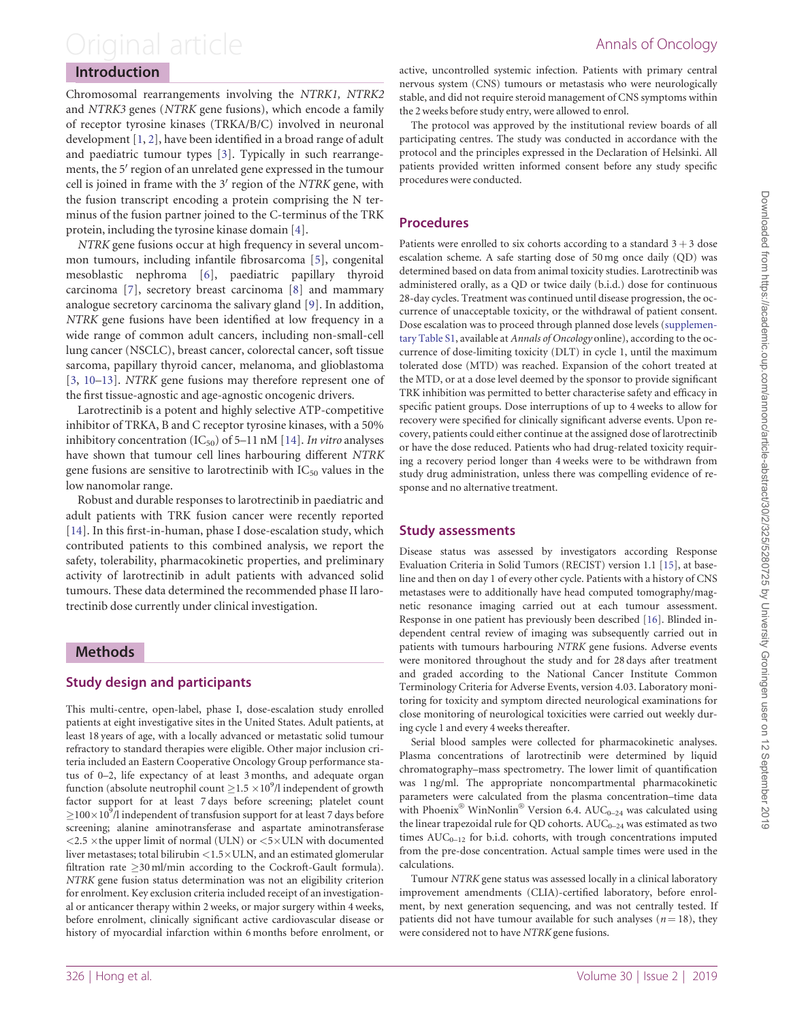## <span id="page-1-0"></span>Original article **Annals of Oncology**

### Introduction

Chromosomal rearrangements involving the NTRK1, NTRK2 and NTRK3 genes (NTRK gene fusions), which encode a family of receptor tyrosine kinases (TRKA/B/C) involved in neuronal development [\[1,](#page-6-0) [2](#page-6-0)], have been identified in a broad range of adult and paediatric tumour types [[3](#page-6-0)]. Typically in such rearrangements, the 5' region of an unrelated gene expressed in the tumour cell is joined in frame with the  $3'$  region of the NTRK gene, with the fusion transcript encoding a protein comprising the N terminus of the fusion partner joined to the C-terminus of the TRK protein, including the tyrosine kinase domain [[4](#page-6-0)].

NTRK gene fusions occur at high frequency in several uncommon tumours, including infantile fibrosarcoma [[5](#page-6-0)], congenital mesoblastic nephroma [[6\]](#page-6-0), paediatric papillary thyroid carcinoma [[7\]](#page-6-0), secretory breast carcinoma [[8\]](#page-6-0) and mammary analogue secretory carcinoma the salivary gland [\[9\]](#page-6-0). In addition, NTRK gene fusions have been identified at low frequency in a wide range of common adult cancers, including non-small-cell lung cancer (NSCLC), breast cancer, colorectal cancer, soft tissue sarcoma, papillary thyroid cancer, melanoma, and glioblastoma [[3](#page-6-0), [10–13\]](#page-6-0). NTRK gene fusions may therefore represent one of the first tissue-agnostic and age-agnostic oncogenic drivers.

Larotrectinib is a potent and highly selective ATP-competitive inhibitor of TRKA, B and C receptor tyrosine kinases, with a 50% inhibitory concentration (IC<sub>50</sub>) of 5–11 nM [[14\]](#page-6-0). In vitro analyses have shown that tumour cell lines harbouring different NTRK gene fusions are sensitive to larotrectinib with  $IC_{50}$  values in the low nanomolar range.

Robust and durable responses to larotrectinib in paediatric and adult patients with TRK fusion cancer were recently reported [[14\]](#page-6-0). In this first-in-human, phase I dose-escalation study, which contributed patients to this combined analysis, we report the safety, tolerability, pharmacokinetic properties, and preliminary activity of larotrectinib in adult patients with advanced solid tumours. These data determined the recommended phase II larotrectinib dose currently under clinical investigation.

### Methods

### Study design and participants

This multi-centre, open-label, phase I, dose-escalation study enrolled patients at eight investigative sites in the United States. Adult patients, at least 18 years of age, with a locally advanced or metastatic solid tumour refractory to standard therapies were eligible. Other major inclusion criteria included an Eastern Cooperative Oncology Group performance status of 0–2, life expectancy of at least 3 months, and adequate organ function (absolute neutrophil count  $\geq$  1.5  $\times$  10<sup>9</sup>/l independent of growth factor support for at least 7 days before screening; platelet count  $\geq$ 100 $\times$ 10<sup>9</sup>/l independent of transfusion support for at least 7 days before screening; alanine aminotransferase and aspartate aminotransferase  $<$  2.5  $\times$  the upper limit of normal (ULN) or  $<$  5 $\times$  ULN with documented liver metastases; total bilirubin  $\langle 1.5 \times \text{ULN}$ , and an estimated glomerular filtration rate  $\geq$  30 ml/min according to the Cockroft-Gault formula). NTRK gene fusion status determination was not an eligibility criterion for enrolment. Key exclusion criteria included receipt of an investigational or anticancer therapy within 2 weeks, or major surgery within 4 weeks, before enrolment, clinically significant active cardiovascular disease or history of myocardial infarction within 6 months before enrolment, or

active, uncontrolled systemic infection. Patients with primary central nervous system (CNS) tumours or metastasis who were neurologically stable, and did not require steroid management of CNS symptoms within the 2 weeks before study entry, were allowed to enrol.

The protocol was approved by the institutional review boards of all participating centres. The study was conducted in accordance with the protocol and the principles expressed in the Declaration of Helsinki. All patients provided written informed consent before any study specific procedures were conducted.

### Procedures

Patients were enrolled to six cohorts according to a standard  $3 + 3$  dose escalation scheme. A safe starting dose of 50 mg once daily (QD) was determined based on data from animal toxicity studies. Larotrectinib was administered orally, as a QD or twice daily (b.i.d.) dose for continuous 28-day cycles. Treatment was continued until disease progression, the occurrence of unacceptable toxicity, or the withdrawal of patient consent. Dose escalation was to proceed through planned dose levels [\(supplemen](https://academic.oup.com/annonc/article-lookup/doi/10.1093/annonc/mdy539#supplementary-data)[tary Table S1,](https://academic.oup.com/annonc/article-lookup/doi/10.1093/annonc/mdy539#supplementary-data) available at Annals of Oncology online), according to the occurrence of dose-limiting toxicity (DLT) in cycle 1, until the maximum tolerated dose (MTD) was reached. Expansion of the cohort treated at the MTD, or at a dose level deemed by the sponsor to provide significant TRK inhibition was permitted to better characterise safety and efficacy in specific patient groups. Dose interruptions of up to 4 weeks to allow for recovery were specified for clinically significant adverse events. Upon recovery, patients could either continue at the assigned dose of larotrectinib or have the dose reduced. Patients who had drug-related toxicity requiring a recovery period longer than 4 weeks were to be withdrawn from study drug administration, unless there was compelling evidence of response and no alternative treatment.

### Study assessments

Disease status was assessed by investigators according Response Evaluation Criteria in Solid Tumors (RECIST) version 1.1 [[15\]](#page-6-0), at baseline and then on day 1 of every other cycle. Patients with a history of CNS metastases were to additionally have head computed tomography/magnetic resonance imaging carried out at each tumour assessment. Response in one patient has previously been described [\[16](#page-6-0)]. Blinded independent central review of imaging was subsequently carried out in patients with tumours harbouring NTRK gene fusions. Adverse events were monitored throughout the study and for 28 days after treatment and graded according to the National Cancer Institute Common Terminology Criteria for Adverse Events, version 4.03. Laboratory monitoring for toxicity and symptom directed neurological examinations for close monitoring of neurological toxicities were carried out weekly during cycle 1 and every 4 weeks thereafter.

Serial blood samples were collected for pharmacokinetic analyses. Plasma concentrations of larotrectinib were determined by liquid chromatography–mass spectrometry. The lower limit of quantification was 1 ng/ml. The appropriate noncompartmental pharmacokinetic parameters were calculated from the plasma concentration–time data with Phoenix® WinNonlin® Version 6.4.  $\text{AUC}_{0-24}$  was calculated using the linear trapezoidal rule for QD cohorts.  $\text{AUC}_{0-24}$  was estimated as two times  $AUC_{0-12}$  for b.i.d. cohorts, with trough concentrations imputed from the pre-dose concentration. Actual sample times were used in the calculations.

Tumour NTRK gene status was assessed locally in a clinical laboratory improvement amendments (CLIA)-certified laboratory, before enrolment, by next generation sequencing, and was not centrally tested. If patients did not have tumour available for such analyses ( $n = 18$ ), they were considered not to have NTRK gene fusions.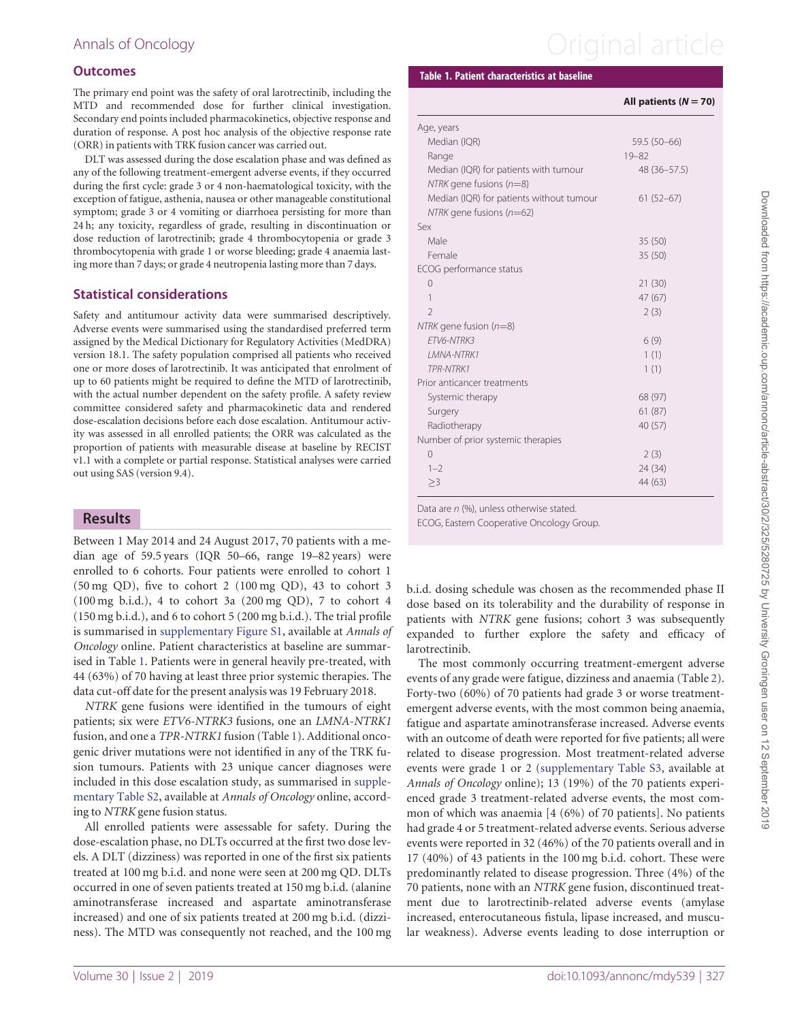### **Outcomes**

The primary end point was the safety of oral larotrectinib, including the MTD and recommended dose for further clinical investigation. Secondary end points included pharmacokinetics, objective response and duration of response. A post hoc analysis of the objective response rate (ORR) in patients with TRK fusion cancer was carried out.

DLT was assessed during the dose escalation phase and was defined as any of the following treatment-emergent adverse events, if they occurred during the first cycle: grade 3 or 4 non-haematological toxicity, with the exception of fatigue, asthenia, nausea or other manageable constitutional symptom; grade 3 or 4 vomiting or diarrhoea persisting for more than 24 h; any toxicity, regardless of grade, resulting in discontinuation or dose reduction of larotrectinib; grade 4 thrombocytopenia or grade 3 thrombocytopenia with grade 1 or worse bleeding; grade 4 anaemia lasting more than 7 days; or grade 4 neutropenia lasting more than 7 days.

### Statistical considerations

Safety and antitumour activity data were summarised descriptively. Adverse events were summarised using the standardised preferred term assigned by the Medical Dictionary for Regulatory Activities (MedDRA) version 18.1. The safety population comprised all patients who received one or more doses of larotrectinib. It was anticipated that enrolment of up to 60 patients might be required to define the MTD of larotrectinib, with the actual number dependent on the safety profile. A safety review committee considered safety and pharmacokinetic data and rendered dose-escalation decisions before each dose escalation. Antitumour activity was assessed in all enrolled patients; the ORR was calculated as the proportion of patients with measurable disease at baseline by RECIST v1.1 with a complete or partial response. Statistical analyses were carried out using SAS (version 9.4).

### Results

Between 1 May 2014 and 24 August 2017, 70 patients with a median age of 59.5 years (IQR 50–66, range 19–82 years) were enrolled to 6 cohorts. Four patients were enrolled to cohort 1 (50 mg QD), five to cohort 2 (100 mg QD), 43 to cohort 3 (100 mg b.i.d.), 4 to cohort 3a (200 mg QD), 7 to cohort 4 (150 mg b.i.d.), and 6 to cohort 5 (200 mg b.i.d.). The trial profile is summarised in [supplementary Figure S1,](https://academic.oup.com/annonc/article-lookup/doi/10.1093/annonc/mdy539#supplementary-data) available at Annals of Oncology online. Patient characteristics at baseline are summarised in Table 1. Patients were in general heavily pre-treated, with 44 (63%) of 70 having at least three prior systemic therapies. The data cut-off date for the present analysis was 19 February 2018.

NTRK gene fusions were identified in the tumours of eight patients; six were ETV6-NTRK3 fusions, one an LMNA-NTRK1 fusion, and one a TPR-NTRK1 fusion (Table 1). Additional oncogenic driver mutations were not identified in any of the TRK fusion tumours. Patients with 23 unique cancer diagnoses were included in this dose escalation study, as summarised in [supple](https://academic.oup.com/annonc/article-lookup/doi/10.1093/annonc/mdy539#supplementary-data)[mentary Table S2](https://academic.oup.com/annonc/article-lookup/doi/10.1093/annonc/mdy539#supplementary-data), available at Annals of Oncology online, according to NTRK gene fusion status.

All enrolled patients were assessable for safety. During the dose-escalation phase, no DLTs occurred at the first two dose levels. A DLT (dizziness) was reported in one of the first six patients treated at 100 mg b.i.d. and none were seen at 200 mg QD. DLTs occurred in one of seven patients treated at 150 mg b.i.d. (alanine aminotransferase increased and aspartate aminotransferase increased) and one of six patients treated at 200 mg b.i.d. (dizziness). The MTD was consequently not reached, and the 100 mg

# Annals of Oncology **Annals of Oncology Annal article**

### Table 1. Patient characteristics at baseline

### All patients  $(N = 70)$

| Age, years                               |              |
|------------------------------------------|--------------|
| Median (IQR)                             | 59.5 (50-66) |
| Range                                    | $19 - 82$    |
| Median (IQR) for patients with tumour    | 48 (36-57.5) |
| NTRK gene fusions $(n=8)$                |              |
| Median (IQR) for patients without tumour | $61(52-67)$  |
| $NTRK$ gene fusions ( $n=62$ )           |              |
| Sex                                      |              |
| Male                                     | 35(50)       |
| Female                                   | 35 (50)      |
| ECOG performance status                  |              |
| 0                                        | 21(30)       |
| 1                                        | 47(67)       |
| $\mathcal{D}$                            | 2(3)         |
| NTRK gene fusion $(n=8)$                 |              |
| FTV6-NTRK3                               | 6(9)         |
| <b>I MNA-NTRK1</b>                       | 1(1)         |
| TPR-NTRK1                                | 1(1)         |
| Prior anticancer treatments              |              |
| Systemic therapy                         | 68 (97)      |
| Surgery                                  | 61(87)       |
| Radiotherapy                             | 40 (57)      |
| Number of prior systemic therapies       |              |
| $\Omega$                                 | 2(3)         |
| $1 - 2$                                  | 24 (34)      |
| >3                                       | 44 (63)      |

Data are n (%), unless otherwise stated.

ECOG, Eastern Cooperative Oncology Group.

b.i.d. dosing schedule was chosen as the recommended phase II dose based on its tolerability and the durability of response in patients with NTRK gene fusions; cohort 3 was subsequently expanded to further explore the safety and efficacy of larotrectinib.

The most commonly occurring treatment-emergent adverse events of any grade were fatigue, dizziness and anaemia (Table [2](#page-3-0)). Forty-two (60%) of 70 patients had grade 3 or worse treatmentemergent adverse events, with the most common being anaemia, fatigue and aspartate aminotransferase increased. Adverse events with an outcome of death were reported for five patients; all were related to disease progression. Most treatment-related adverse events were grade 1 or 2 ([supplementary Table S3](https://academic.oup.com/annonc/article-lookup/doi/10.1093/annonc/mdy539#supplementary-data), available at Annals of Oncology online); 13 (19%) of the 70 patients experienced grade 3 treatment-related adverse events, the most common of which was anaemia [4 (6%) of 70 patients]. No patients had grade 4 or 5 treatment-related adverse events. Serious adverse events were reported in 32 (46%) of the 70 patients overall and in 17 (40%) of 43 patients in the 100 mg b.i.d. cohort. These were predominantly related to disease progression. Three (4%) of the 70 patients, none with an NTRK gene fusion, discontinued treatment due to larotrectinib-related adverse events (amylase increased, enterocutaneous fistula, lipase increased, and muscular weakness). Adverse events leading to dose interruption or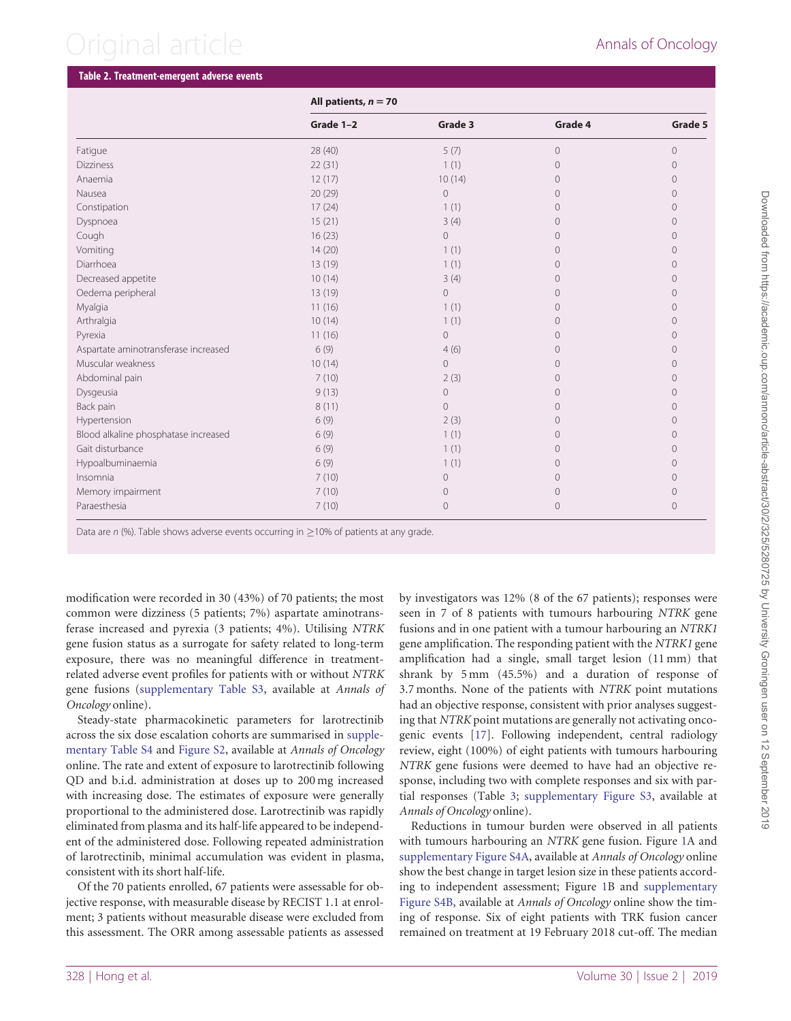## <span id="page-3-0"></span>Original article **Annals of Oncology**

### Table 2. Treatment-emergent adverse events All patients,  $n = 70$ Grade 1–2 Grade 3 Grade 4 Grade 5 Fatigue 28 (40) 5 (7) 0 0 Dizziness  $22 (31)$   $1 (1)$   $0$   $0$ Anaemia 12 (17) 10 (14) 0 0 Nausea 20 (29) 0 0 0 Constipation 17 (24) 1 (1) 0 0 Dyspnoea 15 (21) 3 (4) 0 0 Cough 16 (23) 0 0 0 Vomiting 14 (20) 1 (1) 0 0 Diarrhoea 13 (19) 1 (1) 0 0 Decreased appetite  $10(14)$   $3(4)$   $0$   $0$ Oedema peripheral and the contract of the 13 (19) and 13 (19) of the contract of the contract of the contract of the contract of the contract of the contract of the contract of the contract of the contract of the contract Myalgia 11 (16) 1 (1) 0 0 Arthralgia 10 (14) 1 (1) 0 0 Pyrexia 11 (16) 0 0 0 Aspartate aminotransferase increased 6 (9) 4 (6) 0 0 Muscular weakness and the control of the control of the control of the control of the control of the control of the control of the control of the control of the control of the control of the control of the control of the c Abdominal pain 7 (10) 2 (3) 0 0 Dysgeusia 9 (13) 0 0 0 Back pain 8 (11) 0 0 0 Hypertension 6 (9) 2 (3) 0 0 Blood alkaline phosphatase increased 6 (9) 1 (1) 0 0 Gait disturbance 6 (9) 1 (1) 0 0 Hypoalbuminaemia 6 (9) 1 (1) 0 0 Insomnia 7 (10) 0 0 0 Memory impairment and the control of the control of the control of the control of the control of the control of the control of the control of the control of the control of the control of the control of the control of the c

Paraesthesia 7 (10) 0 0 0

modification were recorded in 30 (43%) of 70 patients; the most common were dizziness (5 patients; 7%) aspartate aminotransferase increased and pyrexia (3 patients; 4%). Utilising NTRK gene fusion status as a surrogate for safety related to long-term exposure, there was no meaningful difference in treatmentrelated adverse event profiles for patients with or without NTRK gene fusions [\(supplementary Table S3](https://academic.oup.com/annonc/article-lookup/doi/10.1093/annonc/mdy539#supplementary-data), available at Annals of Oncology online).

Data are  $n$  (%). Table shows adverse events occurring in  $\geq$ 10% of patients at any grade.

Steady-state pharmacokinetic parameters for larotrectinib across the six dose escalation cohorts are summarised in [supple](https://academic.oup.com/annonc/article-lookup/doi/10.1093/annonc/mdy539#supplementary-data)[mentary Table S4](https://academic.oup.com/annonc/article-lookup/doi/10.1093/annonc/mdy539#supplementary-data) and [Figure S2](https://academic.oup.com/annonc/article-lookup/doi/10.1093/annonc/mdy539#supplementary-data), available at Annals of Oncology online. The rate and extent of exposure to larotrectinib following QD and b.i.d. administration at doses up to 200 mg increased with increasing dose. The estimates of exposure were generally proportional to the administered dose. Larotrectinib was rapidly eliminated from plasma and its half-life appeared to be independent of the administered dose. Following repeated administration of larotrectinib, minimal accumulation was evident in plasma, consistent with its short half-life.

Of the 70 patients enrolled, 67 patients were assessable for objective response, with measurable disease by RECIST 1.1 at enrolment; 3 patients without measurable disease were excluded from this assessment. The ORR among assessable patients as assessed by investigators was 12% (8 of the 67 patients); responses were seen in 7 of 8 patients with tumours harbouring NTRK gene fusions and in one patient with a tumour harbouring an NTRK1 gene amplification. The responding patient with the NTRK1 gene amplification had a single, small target lesion (11 mm) that shrank by 5 mm (45.5%) and a duration of response of 3.7 months. None of the patients with NTRK point mutations had an objective response, consistent with prior analyses suggesting that NTRK point mutations are generally not activating oncogenic events [[17\]](#page-6-0). Following independent, central radiology review, eight (100%) of eight patients with tumours harbouring NTRK gene fusions were deemed to have had an objective response, including two with complete responses and six with partial responses (Table [3;](#page-4-0) [supplementary Figure S3,](https://academic.oup.com/annonc/article-lookup/doi/10.1093/annonc/mdy539#supplementary-data) available at Annals of Oncology online).

Reductions in tumour burden were observed in all patients with tumours harbouring an NTRK gene fusion. Figure [1](#page-4-0)A and [supplementary Figure S4A,](https://academic.oup.com/annonc/article-lookup/doi/10.1093/annonc/mdy539#supplementary-data) available at Annals of Oncology online show the best change in target lesion size in these patients according to independent assessment; Figure [1B](#page-4-0) and [supplementary](https://academic.oup.com/annonc/article-lookup/doi/10.1093/annonc/mdy539#supplementary-data) [Figure S4B,](https://academic.oup.com/annonc/article-lookup/doi/10.1093/annonc/mdy539#supplementary-data) available at Annals of Oncology online show the timing of response. Six of eight patients with TRK fusion cancer remained on treatment at 19 February 2018 cut-off. The median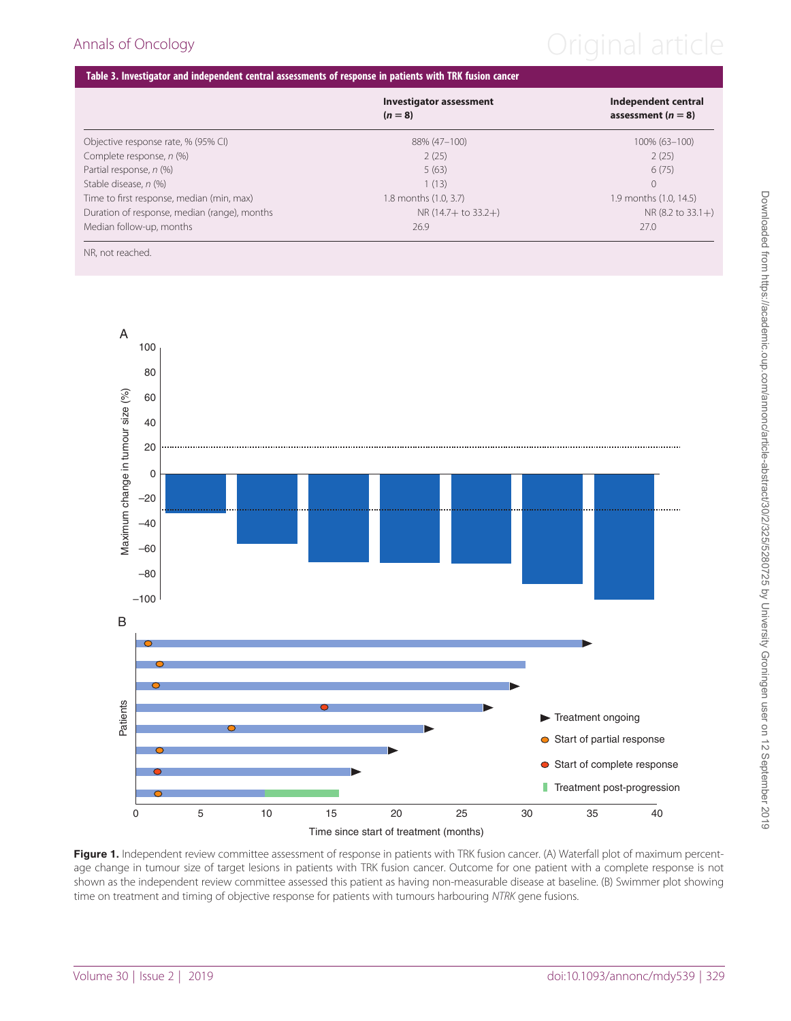## <span id="page-4-0"></span>Annals of Oncology **Annals of Oncology Original article**

### Table 3. Investigator and independent central assessments of response in patients with TRK fusion cancer

|                                              | <b>Investigator assessment</b><br>$(n=8)$ | Independent central<br>assessment ( $n = 8$ ) |
|----------------------------------------------|-------------------------------------------|-----------------------------------------------|
| Objective response rate, % (95% CI)          | 88% (47-100)                              | 100% (63-100)                                 |
| Complete response, n (%)                     | 2(25)                                     | 2(25)                                         |
| Partial response, n (%)                      | 5(63)                                     | 6(75)                                         |
| Stable disease, n (%)                        | 1(13)                                     | $\Omega$                                      |
| Time to first response, median (min, max)    | 1.8 months (1.0, 3.7)                     | 1.9 months (1.0, 14.5)                        |
| Duration of response, median (range), months | $NR(14.7 + to 33.2+)$                     | NR (8.2 to 33.1+)                             |
| Median follow-up, months                     | 26.9                                      | 27.0                                          |

NR, not reached.



Figure 1. Independent review committee assessment of response in patients with TRK fusion cancer. (A) Waterfall plot of maximum percentage change in tumour size of target lesions in patients with TRK fusion cancer. Outcome for one patient with a complete response is not shown as the independent review committee assessed this patient as having non-measurable disease at baseline. (B) Swimmer plot showing time on treatment and timing of objective response for patients with tumours harbouring NTRK gene fusions.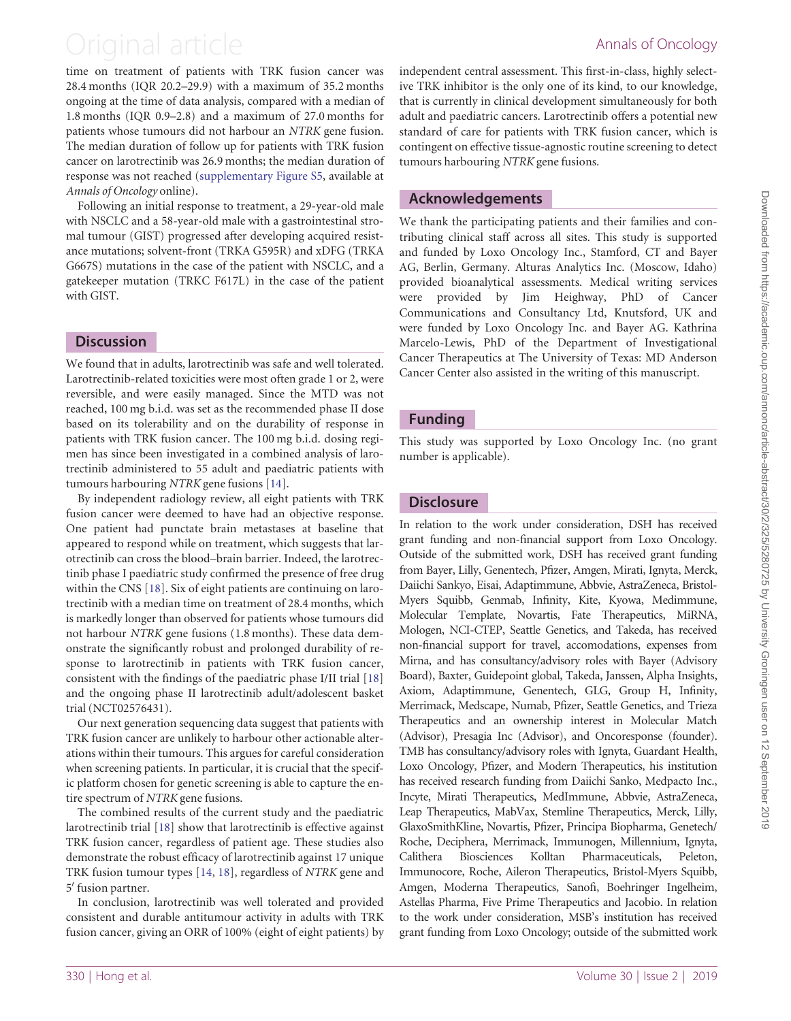## <span id="page-5-0"></span>Original article **Annals of Oncology**

time on treatment of patients with TRK fusion cancer was 28.4 months (IQR 20.2–29.9) with a maximum of 35.2 months ongoing at the time of data analysis, compared with a median of 1.8 months (IQR 0.9–2.8) and a maximum of 27.0 months for patients whose tumours did not harbour an NTRK gene fusion. The median duration of follow up for patients with TRK fusion cancer on larotrectinib was 26.9 months; the median duration of response was not reached ([supplementary Figure S5,](https://academic.oup.com/annonc/article-lookup/doi/10.1093/annonc/mdy539#supplementary-data) available at Annals of Oncology online).

Following an initial response to treatment, a 29-year-old male with NSCLC and a 58-year-old male with a gastrointestinal stromal tumour (GIST) progressed after developing acquired resistance mutations; solvent-front (TRKA G595R) and xDFG (TRKA G667S) mutations in the case of the patient with NSCLC, and a gatekeeper mutation (TRKC F617L) in the case of the patient with GIST.

### **Discussion**

We found that in adults, larotrectinib was safe and well tolerated. Larotrectinib-related toxicities were most often grade 1 or 2, were reversible, and were easily managed. Since the MTD was not reached, 100 mg b.i.d. was set as the recommended phase II dose based on its tolerability and on the durability of response in patients with TRK fusion cancer. The 100 mg b.i.d. dosing regimen has since been investigated in a combined analysis of larotrectinib administered to 55 adult and paediatric patients with tumours harbouring NTRK gene fusions [\[14](#page-6-0)].

By independent radiology review, all eight patients with TRK fusion cancer were deemed to have had an objective response. One patient had punctate brain metastases at baseline that appeared to respond while on treatment, which suggests that larotrectinib can cross the blood–brain barrier. Indeed, the larotrectinib phase I paediatric study confirmed the presence of free drug within the CNS [\[18](#page-6-0)]. Six of eight patients are continuing on larotrectinib with a median time on treatment of 28.4 months, which is markedly longer than observed for patients whose tumours did not harbour NTRK gene fusions (1.8 months). These data demonstrate the significantly robust and prolonged durability of response to larotrectinib in patients with TRK fusion cancer, consistent with the findings of the paediatric phase I/II trial [[18\]](#page-6-0) and the ongoing phase II larotrectinib adult/adolescent basket trial (NCT02576431).

Our next generation sequencing data suggest that patients with TRK fusion cancer are unlikely to harbour other actionable alterations within their tumours. This argues for careful consideration when screening patients. In particular, it is crucial that the specific platform chosen for genetic screening is able to capture the entire spectrum of NTRK gene fusions.

The combined results of the current study and the paediatric larotrectinib trial [[18\]](#page-6-0) show that larotrectinib is effective against TRK fusion cancer, regardless of patient age. These studies also demonstrate the robust efficacy of larotrectinib against 17 unique TRK fusion tumour types [\[14](#page-6-0), [18\]](#page-6-0), regardless of NTRK gene and 5' fusion partner.

In conclusion, larotrectinib was well tolerated and provided consistent and durable antitumour activity in adults with TRK fusion cancer, giving an ORR of 100% (eight of eight patients) by

independent central assessment. This first-in-class, highly selective TRK inhibitor is the only one of its kind, to our knowledge, that is currently in clinical development simultaneously for both adult and paediatric cancers. Larotrectinib offers a potential new standard of care for patients with TRK fusion cancer, which is contingent on effective tissue-agnostic routine screening to detect tumours harbouring NTRK gene fusions.

### Acknowledgements

We thank the participating patients and their families and contributing clinical staff across all sites. This study is supported and funded by Loxo Oncology Inc., Stamford, CT and Bayer AG, Berlin, Germany. Alturas Analytics Inc. (Moscow, Idaho) provided bioanalytical assessments. Medical writing services were provided by Jim Heighway, PhD of Cancer Communications and Consultancy Ltd, Knutsford, UK and were funded by Loxo Oncology Inc. and Bayer AG. Kathrina Marcelo-Lewis, PhD of the Department of Investigational Cancer Therapeutics at The University of Texas: MD Anderson Cancer Center also assisted in the writing of this manuscript.

### Funding

This study was supported by Loxo Oncology Inc. (no grant number is applicable).

### **Disclosure**

In relation to the work under consideration, DSH has received grant funding and non-financial support from Loxo Oncology. Outside of the submitted work, DSH has received grant funding from Bayer, Lilly, Genentech, Pfizer, Amgen, Mirati, Ignyta, Merck, Daiichi Sankyo, Eisai, Adaptimmune, Abbvie, AstraZeneca, Bristol-Myers Squibb, Genmab, Infinity, Kite, Kyowa, Medimmune, Molecular Template, Novartis, Fate Therapeutics, MiRNA, Mologen, NCI-CTEP, Seattle Genetics, and Takeda, has received non-financial support for travel, accomodations, expenses from Mirna, and has consultancy/advisory roles with Bayer (Advisory Board), Baxter, Guidepoint global, Takeda, Janssen, Alpha Insights, Axiom, Adaptimmune, Genentech, GLG, Group H, Infinity, Merrimack, Medscape, Numab, Pfizer, Seattle Genetics, and Trieza Therapeutics and an ownership interest in Molecular Match (Advisor), Presagia Inc (Advisor), and Oncoresponse (founder). TMB has consultancy/advisory roles with Ignyta, Guardant Health, Loxo Oncology, Pfizer, and Modern Therapeutics, his institution has received research funding from Daiichi Sanko, Medpacto Inc., Incyte, Mirati Therapeutics, MedImmune, Abbvie, AstraZeneca, Leap Therapeutics, MabVax, Stemline Therapeutics, Merck, Lilly, GlaxoSmithKline, Novartis, Pfizer, Principa Biopharma, Genetech/ Roche, Deciphera, Merrimack, Immunogen, Millennium, Ignyta, Calithera Biosciences Kolltan Pharmaceuticals, Peleton, Immunocore, Roche, Aileron Therapeutics, Bristol-Myers Squibb, Amgen, Moderna Therapeutics, Sanofi, Boehringer Ingelheim, Astellas Pharma, Five Prime Therapeutics and Jacobio. In relation to the work under consideration, MSB's institution has received grant funding from Loxo Oncology; outside of the submitted work